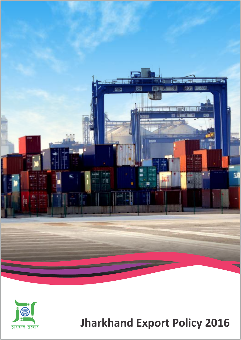



# **Jharkhand Export Policy 2016**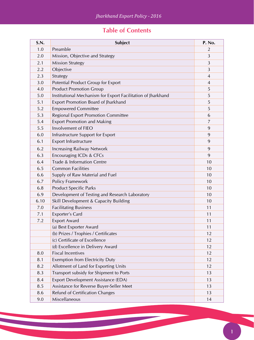# **Table of Contents**

| S.N. | Subject                                                      | P. No.         |
|------|--------------------------------------------------------------|----------------|
| 1.0  | Preamble                                                     | $\overline{2}$ |
| 2.0  | Mission, Objective and Strategy                              | 3              |
| 2.1  | <b>Mission Strategy</b>                                      | 3              |
| 2.2  | Objective                                                    | 3              |
| 2.3  | Strategy                                                     | $\overline{4}$ |
| 3.0  | Potential Product Group for Export                           | 4              |
| 4.0  | <b>Product Promotion Group</b>                               | 5              |
| 5.0  | Institutional Mechanism for Export Facilitation of Jharkhand | 5              |
| 5.1  | <b>Export Promotion Board of Jharkhand</b>                   | 5              |
| 5.2  | <b>Empowered Committee</b>                                   | 5              |
| 5.3  | Regional Export Promotion Committee                          | 6              |
| 5.4  | <b>Export Promotion and Making</b>                           | 7              |
| 5.5  | Involvement of FIEO                                          | 9              |
| 6.0  | Infrastructure Support for Export                            | 9              |
| 6.1  | <b>Export Infrastructure</b>                                 | 9              |
| 6.2  | <b>Increasing Railway Network</b>                            | 9              |
| 6.3  | <b>Encouraging ICDs &amp; CFCs</b>                           | 9              |
| 6.4  | Trade & Information Centre                                   | 10             |
| 6.5  | <b>Common Facilities</b>                                     | 10             |
| 6.6  | Supply of Raw Material and Fuel                              | 10             |
| 6.7  | <b>Policy Framework</b>                                      | 10             |
| 6.8  | <b>Product Specific Parks</b>                                | 10             |
| 6.9  | Development of Testing and Research Laboratory               | 10             |
| 6.10 | Skill Development & Capacity Building                        | 10             |
| 7.0  | <b>Facilitating Business</b>                                 | 11             |
| 7.1  | Exporter's Card                                              | 11             |
| 7.2  | <b>Export Award</b>                                          | 11             |
|      | (a) Best Exporter Award                                      | 11             |
|      | (b) Prizes / Trophies / Certificates                         | 12             |
|      | (c) Certificate of Excellence                                | 12             |
|      | (d) Excellence in Delivery Award                             | 12             |
| 8.0  | <b>Fiscal Incentives</b>                                     | 12             |
| 8.1  | <b>Exemption from Electricity Duty</b>                       | 12             |
| 8.2  | Allotment of Land for Exporting Units                        | 12             |
| 8.3  | Transport subsidy for Shipment to Ports                      | 13             |
| 8.4  | Export Development Assistance (EDA)                          | 13             |
| 8.5  | Assistance for Reverse Buyer-Seller Meet                     | 13             |
| 8.6  | Refund of Certification Changes                              | 13             |
| 9.0  | Miscellaneous                                                | 14             |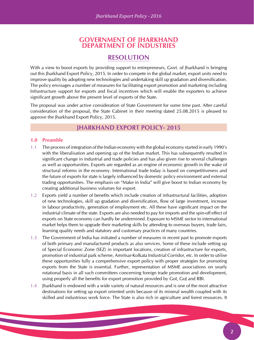### **GOVERNMENT OF JHARKHAND DEPARTMENT OF INDUSTRIES**

# **RESOLUTION**

With a view to boost exports by providing support to entrepreneurs, Govt. of Jharkhand is bringing out this Jharkhand Export Policy, 2015. In order to compete in the global market, export units need to improve quality by adopting new technologies and undertaking skill up gradation and diversification. The policy envisages a number of measures for facilitating export promotion and marketing including Infrastructure support for exports and fiscal incentives which will enable the exporters to achieve significant growth above the present level of exports of the State.

The proposal was under active consideration of State Government for some time past. After careful consideration of the proposal, the State Cabinet in their meeting dated 25.08.2015 is pleased to approve the Jharkhand Export Policy, 2015.

### **JHARKHAND EXPORT POLICY- 2015**

#### **1.0 Preamble**

- 1.1 The process of integration of the Indian economy with the global economy started in early 1990's with the liberalisation and opening up of the Indian market. This has subsequently resulted in significant change in industrial and trade policies and has also given rise to several challenges as well as opportunities. Exports are regarded as an engine of economic growth in the wake of structural reforms in the economy. International trade today is based on competitiveness and the future of exports for state is largely influenced by domestic policy environment and external trading opportunities. The emphasis on "Make in India" will give boost to Indian economy by creating additional business volumes for export.
- 1.2 Exports yield a number of benefits which include creation of infrastructural facilities, adoption of new technologies, skill up gradation and diversification, flow of large investment, increase in labour productivity, generation of employment etc. All these have significant impact on the industrial climate of the state. Exports are also needed to pay for imports and the spin-off effect of exports on State economy can hardly be undermined. Exposure to MSME sector to international market helps them to upgrade their marketing skills by attending to overseas buyers, trade fairs, learning quality needs and statutory and customary practices of many countries.
- 1.3 The Government of India has initiated a number of measures in recent past to promote exports of both primary and manufactured products as also services. Some of these include setting up of Special Economic Zone (SEZ) in important locations, creation of infrastructure for exports, promotion of industrial park scheme, Amritsar-Kolkata Industrial Corridor, etc. In order to utilise these opportunities fully a comprehensive export policy with proper strategies for promoting exports from the State is essential. Further, representation of MSME associations on yearly rotational basis in all such committees concerning foreign trade promotion and development, using properly all the benefits for export promotion provided by GoI, GoJ and RBI.
- 1.4 Jharkhand is endowed with a wide variety of natural resources and is one of the most attractive destinations for setting up export oriented units because of its mineral wealth coupled with its skilled and industrious work force. The State is also rich in agriculture and forest resources. It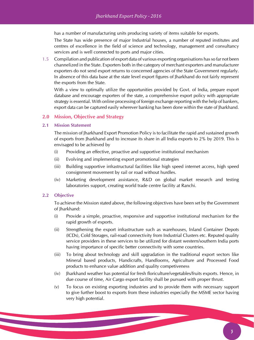has a number of manufacturing units producing variety of items suitable for exports.

The State has wide presence of major Industrial houses, a number of reputed institutes and centres of excellence in the field of science and technology, management and consultancy services and is well connected to ports and major cities.

1.5 Compilation and publication of export data of various exporting organisations has so far not been channelized in the State. Exporters both in the category of merchant exporters and manufacturer exporters do not send export returns to concerned agencies of the State Government regularly. In absence of this data base at the state level export figures of Jharkhand do not fairly represent the exports from the State.

With a view to optimally utilize the opportunities provided by Govt. of India, prepare export database and encourage exporters of the state, a comprehensive export policy with appropriate strategy is essential. With online processing of foreign exchange reporting with the help of bankers, export data can be captured easily wherever banking has been done within the state of Jharkhand.

#### **2.0 Mission, Objective and Strategy**

#### **2.1 Mission Statement**

The mission of Jharkhand Export Promotion Policy is to facilitate the rapid and sustained growth of exports from Jharkhand and to increase its share in all India exports to 2% by 2019. This is envisaged to be achieved by

- (i) Providing an effective, proactive and supportive institutional mechanism
- (ii) Evolving and implementing export promotional strategies
- (iii) Building supportive infrastructural facilities like high speed internet access, high speed consignment movement by rail or road without hurdles.
- (iv) Marketing development assistance, R&D on global market research and testing laboratories support, creating world trade centre facility at Ranchi.

#### **2.2 Objective**

To achieve the Mission stated above, the following objectives have been set by the Government of Jharkhand:

- (i) Provide a simple, proactive, responsive and supportive institutional mechanism for the rapid growth of exports.
- (ii) Strengthening the export infrastructure such as warehouses, Inland Container Depots (ICDs), Cold Storages, rail-road connectivity from Industrial Clusters etc. Reputed quality service providers in these services to be utilized for distant western/southern India ports having importance of specific better connectivity with some countries.
- (iii) To bring about technology and skill upgradation in the traditional export sectors like Mineral based products, Handicrafts, Handlooms, Agriculture and Processed Food products to enhance value addition and quality competiveness
- (iv) Jharkhand weather has potential for fresh floriculture/vegetables/fruits exports. Hence, in due course of time, Air Cargo export facility shall be pursued with proper thrust.
- (v) To focus on existing exporting industries and to provide them with necessary support to give further boost to exports from these industries especially the MSME sector having very high potential.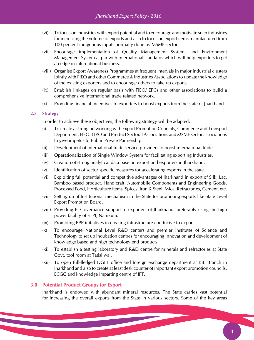- (vi) To focus on industries with export potential and to encourage and motivate such industries for increasing the volume of exports and also to focus on export items manufactured from 100 percent indigenous inputs normally done by MSME sector.
- (vii) Encourage implementation of Quality Management Systems and Environment Management System at par with international standards which will help exporters to get an edge in international business.
- (viii) Organise Export Awareness Programmes at frequent intervals in major industrial clusters jointly with FIEO and other Commerce & Industries Associations to update the knowledge of the existing exporters and to encourage others to take up exports.
- (ix) Establish linkages on regular basis with FIEO/ EPCs and other associations to build a comprehensive international trade related network.
- (x) Providing financial incentives to exporters to boost exports from the state of Jharkhand.

#### **2.3 Strategy**

In order to achieve these objectives, the following strategy will be adapted:

- (i) To create a strong networking with Export Promotion Councils, Commerce and Transport Department, FIEO, ITPO and Product Sectoral Associations and MSME sector associations to give impetus to Public Private Partnership.
- (ii) Development of international trade service providers to boost international trade
- (iii) Operationalization of Single Window System for facilitating exporting Industries.
- (iv) Creation of strong analytical data base on export and exporters in Jharkhand.
- (v) Identification of sector specific measures for accelerating exports in the state.
- (vi) Exploiting full potential and competitive advantages of Jharkhand in export of Silk, Lac, Bamboo based product, Handicraft, Automobile Components and Engineering Goods, Processed Food, Horticulture items, Spices, Iron & Steel, Mica, Refractories, Cement, etc.
- (vii) Setting up of Institutional mechanism in the State for promoting exports like State Level Export Promotion Board.
- (viii) Providing E- Governance support to exporters of Jharkhand, preferably using the high power facility of STPI, Namkum.
- (ix) Promoting PPP initiatives in creating infrastructure conducive to export.
- (x) To encourage National Level R&D centers and premier Institutes of Science and Technology to set up Incubation centres for encouraging innovation and development of knowledge based and high technology end products.
- (xi) To establish a testing laboratory and R&D centre for minerals and refractories at State Govt. tool room at Tatisilwai.
- (xii) To open full-fledged DGFT office and foreign exchange department at RBI Branch in Jharkhand and also to create at least desk counter of important export promotion councils, ECGC and knowledge imparting centre of IFT.

#### **3.0 Potential Product Groups for Export**

Jharkhand is endowed with abundant mineral resources. The State carries vast potential for increasing the overall exports from the State in various sectors. Some of the key areas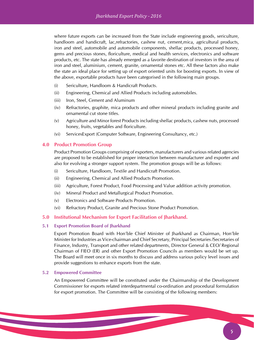where future exports can be increased from the State include engineering goods, sericulture, handloom and handicraft, lac,refractories, cashew nut, cement,mica, agricultural products, iron and steel, automobile and automobile components, shellac products, processed honey, gems and precious stones, floriculture, medical and health services, electronics and software products, etc. The state has already emerged as a favorite destination of investors in the area of iron and steel, aluminium, cement, granite, ornamental stones etc. All these factors also make the state an ideal place for setting up of export oriented units for boosting exports. In view of the above, exportable products have been categorised in the following main groups.

- (i) Sericulture, Handloom & Handicraft Products.
- (ii) Engineering, Chemical and Allied Products including automobiles.
- (iii) Iron, Steel, Cement and Aluminum
- (iv) Refractories, graphite, mica products and other mineral products including granite and ornamental cut stone titles.
- (v) Agriculture and Minor forest Products including shellac products, cashew nuts, processed honey, fruits, vegetables and floriculture.
- (vi) ServicesExport (Computer Software, Engineering Consultancy, etc.)

#### **4.0 Product Promotion Group**

Product Promotion Groups comprising of exporters, manufacturers and various related agencies are proposed to be established for proper interaction between manufacturer and exporter and also for evolving a stronger support system. The promotion groups will be as follows:

- (i) Sericulture, Handloom, Textile and Handicraft Promotion.
- (ii) Engineering, Chemical and Allied Products Promotion.
- (iii) Agriculture, Forest Product, Food Processing and Value addition activity promotion.
- (iv) Mineral Product and Metallurgical Product Promotion.
- (v) Electronics and Software Products Promotion.
- (vi) Refractory Product, Granite and Precious Stone Product Promotion.

#### **5.0 Institutional Mechanism for Export Facilitation of Jharkhand.**

#### **5.1 Export Promotion Board of Jharkhand**

Export Promotion Board with Hon'ble Chief Minister of Jharkhand as Chairman, Hon'ble Minister for Industries as Vice-chairman and Chief Secretary, Principal Secretaries /Secretaries of Finance, Industry, Transport and other related departments, Director General & CEO/ Regional Chairman of FIEO (ER) and other Export Promotion Councils as members would be set up. The Board will meet once in six months to discuss and address various policy level issues and provide suggestions to enhance exports from the state.

#### **5.2 Empowered Committee**

An Empowered Committee will be constituted under the Chairmanship of the Development Commissioner for exports related interdepartmental co-ordination and procedural formulation for export promotion. The Committee will be consisting of the following members: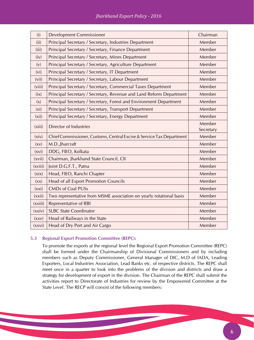| (i)               | <b>Development Commissioner</b>                                      | Chairman            |
|-------------------|----------------------------------------------------------------------|---------------------|
| (ii)              | Principal Secretary / Secretary, Industries Department               | Member              |
| (iii)             | Principal Secretary / Secretary, Finance Department                  | Member              |
| (iv)              | Principal Secretary / Secretary, Mines Department                    | Member              |
| (v)               | Principal Secretary / Secretary, Agriculture Department              | Member              |
| (v <sub>i</sub> ) | Principal Secretary / Secretary, IT Department                       | Member              |
| (vii)             | Principal Secretary / Secretary, Labour Department                   | Member              |
| (viii)            | Principal Secretary / Secretary, Commercial Taxes Department         | Member              |
| (ix)              | Principal Secretary / Secretary, Revenue and Land Reform Department  | Member              |
| (x)               | Principal Secretary / Secretary, Forest and Environment Department   | Member              |
| (x <sub>i</sub> ) | Principal Secretary / Secretary, Transport Department                | Member              |
| (xii)             | Principal Secretary / Secretary, Energy Department                   | Member              |
| (xiii)            | <b>Director of Industries</b>                                        | Member<br>Secretary |
| (xiv)             | Chief Commissioner, Customs, Central Excise & Service Tax Department | Member              |
| (xv)              | M.D., Jharcraft                                                      | Member              |
| (xvi)             | DDG, FIEO, Kolkata                                                   | Member              |
| (xvii)            | Chairman, Jharkhand State Council, CII                               | Member              |
| (xviii)           | Joint D.G.F.T., Patna                                                | Member              |
| (xix)             | Head, FIEO, Ranchi Chapter                                           | Member              |
| (xx)              | Head of all Export Promotion Councils                                | Member              |
| (xxi)             | <b>CMDs of Coal PUSs</b>                                             | Member              |
| (xxii)            | Two representative from MSME association on yearly rotational basis  | Member              |
| (xxiii)           | <b>Representative of RBI</b>                                         | Member              |
| (xxiv)            | <b>SLBC State Coordinator</b>                                        | Member              |
| (xxy)             | Head of Railways in the State                                        | Member              |
| (xxvi)            | Head of Dry Port and Air Cargo                                       | Member              |

#### **5.3 Regional Export Promotion Committee (REPC):**

To promote the exports at the regional level the Regional Export Promotion Committee (REPC) shall be formed under the Chairmanship of Divisional Commissioners and by including members such as Deputy Commissioner, General Manager of DIC, M.D of IADA, Leading Exporters, Local Industries Association, Lead Banks etc. of respective districts. The REPC shall meet once in a quarter to look into the problems of the division and districts and draw a strategy for development of export in the division. The Chairman of the REPC shall submit the activities report to Directorate of Industries for review by the Empowered Committee at the State Level. The RECP will consist of the following members: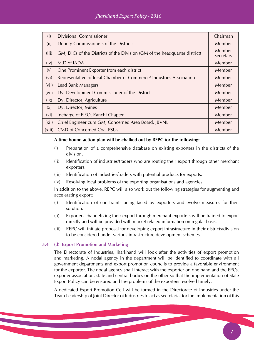| (i)               | <b>Divisional Commissioner</b>                                             | Chairman            |
|-------------------|----------------------------------------------------------------------------|---------------------|
| (ii)              | Deputy Commissioners of the Districts                                      | Member              |
| (iii)             | GM, DICs of the Districts of the Division (GM of the headquarter district) | Member<br>Secretary |
| (iv)              | M.D of IADA                                                                | Member              |
| (v)               | One Prominent Exporter from each district                                  | Member              |
| (v <sub>i</sub> ) | Representative of local Chamber of Commerce/ Industries Association        | Member              |
| (vii)             | Lead Bank Managers                                                         | Member              |
| (viii)            | Dy. Development Commissioner of the District                               | Member              |
| (ix)              | Dy. Director, Agriculture                                                  | Member              |
| (x)               | Dy. Director, Mines                                                        | Member              |
| (x <sub>i</sub> ) | Incharge of FIEO, Ranchi Chapter                                           | Member              |
| (xii)             | Chief Engineer cum GM, Concerned Area Board, JBVNL                         | Member              |
| (xiii)            | <b>CMD of Concerned Coal PSUs</b>                                          | Member              |

#### **A time bound action plan will be chalked out by REPC for the following:**

- (i) Preparation of a comprehensive database on existing exporters in the districts of the division.
- (ii) Identification of industries/traders who are routing their export through other merchant exporters.
- (iii) Identification of industries/traders with potential products for exports.
- (iv) Resolving local problems of the exporting organisations and agencies.

In addition to the above, REPC will also work out the following strategies for augmenting and accelerating export:

- (i) Identification of constraints being faced by exporters and evolve measures for their solution.
- (ii) Exporters channelizing their export through merchant exporters will be trained to export directly and will be provided with market related information on regular basis.
- (iii) REPC will initiate proposal for developing export infrastructure in their districts/division to be considered under various infrastructure development schemes.

#### **5.4 (d) Export Promotion and Marketing**

The Directorate of Industries, Jharkhand will look after the activities of export promotion and marketing. A nodal agency in the department will be identified to coordinate with all government departments and export promotion councils to provide a favorable environment for the exporter. The nodal agency shall interact with the exporter on one hand and the EPCs, exporter association, state and central bodies on the other so that the implementation of State Export Policy can be ensured and the problems of the exporters resolved timely.

A dedicated Export Promotion Cell will be formed in the Directorate of Industries under the Team Leadership of Joint Director of Industries to act as secretariat for the implementation of this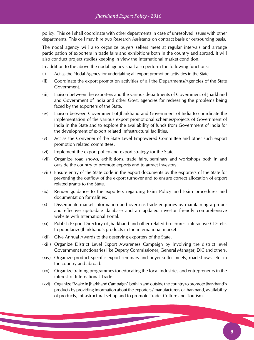policy. This cell shall coordinate with other departments in case of unresolved issues with other departments. This cell may hire two Research Assistants on contract basis or outsourcing basis.

The nodal agency will also organize buyers sellers meet at regular intervals and arrange participation of exporters in trade fairs and exhibitions both in the country and abroad. It will also conduct project studies keeping in view the international market condition.

In addition to the above the nodal agency shall also perform the following functions:

- (i) Act as the Nodal Agency for undertaking all export promotion activities in the State.
- (ii) Coordinate the export promotion activities of all the Departments/Agencies of the State Government.
- (iii) Liaison between the exporters and the various departments of Government of Jharkhand and Government of India and other Govt. agencies for redressing the problems being faced by the exporters of the State.
- (iv) Liaison between Government of Jharkhand and Government of India to coordinate the implementation of the various export promotional schemes/projects of Government of India in the State and to explore the availability of funds from Government of India for the development of export related infrastructural facilities.
- (v) Act as the Convener of the State Level Empowered Committee and other such export promotion related committees.
- (vi) Implement the export policy and export strategy for the State.
- (vii) Organize road shows, exhibitions, trade fairs, seminars and workshops both in and outside the country to promote exports and to attract investors.
- (viii) Ensure entry of the State code in the export documents by the exporters of the State for preventing the outflow of the export turnover and to ensure correct allocation of export related grants to the State.
- (ix) Render guidance to the exporters regarding Exim Policy and Exim procedures and documentation formalities.
- (x) Disseminate market information and overseas trade enquiries by maintaining a proper and effective up-to-date database and an updated investor friendly comprehensive website with International Portal.
- (xi) Publish Export Directory of Jharkhand and other related brochures, interactive CDs etc. to popularize Jharkhand's products in the international market.
- (xii) Give Annual Awards to the deserving exporters of the State.
- (xiii) Organize District Level Export Awareness Campaign by involving the district level Government functionaries like Deputy Commissioner, General Manager, DIC and others.
- (xiv) Organize product specific export seminars and buyer seller meets, road shows, etc. in the country and abroad.
- (xv) Organize training programmes for educating the local industries and entrepreneurs in the interest of International Trade.
- (xvi) Organize "Make in Jharkhand Campaign" both in and outside the country to promote Jharkhand's products by providing information about the exporters / manufacturers of Jharkhand, availability of products, infrastructural set up and to promote Trade, Culture and Tourism.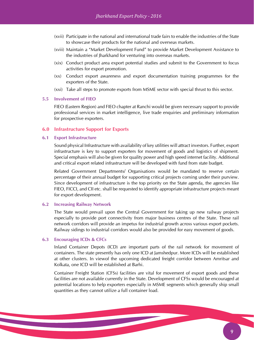- (xvii) Participate in the national and international trade fairs to enable the industries of the State to showcase their products for the national and overseas markets.
- (xviii) Maintain a "Market Development Fund" to provide Market Development Assistance to the industries of Jharkhand for venturing into overseas markets.
- (xix) Conduct product area export potential studies and submit to the Government to focus activities for export promotion.
- (xx) Conduct export awareness and export documentation training programmes for the exporters of the State.
- (xxi) Take all steps to promote exports from MSME sector with special thrust to this sector.

#### **5.5 Involvement of FIEO**

FIEO (Eastern Region) and FIEO chapter at Ranchi would be given necessary support to provide professional services in market intelligence, live trade enquiries and preliminary information for prospective exporters.

#### **6.0 Infrastructure Support for Exports**

#### **6.1 Export Infrastructure**

Sound physical Infrastructure with availability of key utilities will attract investors. Further, export infrastructure is key to support exporters for movement of goods and logistics of shipment. Special emphasis will also be given for quality power and high speed internet facility. Additional and critical export related infrastructure will be developed with fund from state budget.

Related Government Departments/ Organisations would be mandated to reserve certain percentage of their annual budget for supporting critical projects coming under their purview. Since development of infrastructure is the top priority on the State agenda, the agencies like FIEO, FICCI, and CII etc. shall be requested to identify appropriate infrastructure projects meant for export development.

#### **6.2 Increasing Railway Network**

The State would prevail upon the Central Government for taking up new railway projects especially to provide port connectivity from major business centres of the State. These rail network corridors will provide an impetus for industrial growth across various export pockets. Railway sidings to industrial corridors would also be provided for easy movement of goods.

#### **6.3 Encouraging ICDs & CFCs**

Inland Container Depots (ICD) are important parts of the rail network for movement of containers. The state presently has only one ICD at Jamshedpur. More ICDs will be established at other clusters. In viewof the upcoming dedicated freight corridor between Amritsar and Kolkata, one ICD will be established at Barhi.

Container Freight Station (CFSs) facilities are vital for movement of export goods and these facilities are not available currently in the State. Development of CFSs would be encouraged at potential locations to help exporters especially in MSME segments which generally ship small quantities as they cannot utilize a full container load.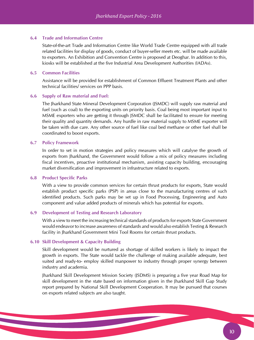#### **6.4 Trade and Information Centre**

State-of-the-art Trade and Information Centre like World Trade Centre equipped with all trade related facilities for display of goods, conduct of buyer-seller meets etc. will be made available to exporters. An Exhibition and Convention Centre is proposed at Deoghar. In addition to this, kiosks will be established at the five Industrial Area Development Authorities (IADAs).

#### **6.5 Common Facilities**

Assistance will be provided for establishment of Common Effluent Treatment Plants and other technical facilities/ services on PPP basis.

#### **6.6 Supply of Raw material and Fuel:**

The Jharkhand State Mineral Development Corporation (JSMDC) will supply raw material and fuel (such as coal) to the exporting units on priority basis. Coal being most important input to MSME exporters who are getting it through JSMDC shall be facilitated to ensure for meeting their quality and quantity demands. Any hurdle in raw material supply to MSME exporter will be taken with due care. Any other source of fuel like coal bed methane or other fuel shall be coordinated to boost exports.

#### **6.7 Policy Framework**

In order to set in motion strategies and policy measures which will catalyse the growth of exports from Jharkhand, the Government would follow a mix of policy measures including fiscal incentives, proactive institutional mechanism, assisting capacity building, encouraging market diversification and improvement in infrastructure related to exports.

#### **6.8 Product Specific Parks**

With a view to provide common services for certain thrust products for exports, State would establish product specific parks (PSP) in areas close to the manufacturing centres of such identified products. Such parks may be set up in Food Processing, Engineering and Auto component and value added products of minerals which has potential for exports.

#### **6.9 Development of Testing and Research Laboratory**

With a view to meet the increasing technical standards of products for exports State Government would endeavor to increase awareness of standards and would also establish Testing & Research facility in Jharkhand Government Mini Tool Rooms for certain thrust products.

#### **6.10 Skill Development & Capacity Building**

Skill development would be nurtured as shortage of skilled workers is likely to impact the growth in exports. The State would tackle the challenge of making available adequate, best suited and ready-to- employ skilled manpower to industry through proper synergy between industry and academia.

Jharkhand Skill Development Mission Society (JSDMS) is preparing a five year Road Map for skill development in the state based on information given in the Jharkhand Skill Gap Study report prepared by National Skill Development Cooperation. It may be pursued that courses on exports related subjects are also taught.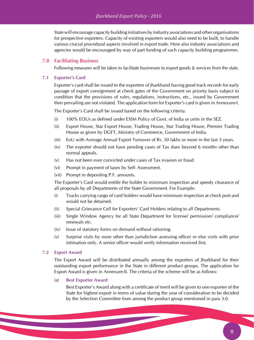State will encourage capacity building initiatives by industry associations and other organisations for prospective exporters. Capacity of existing exporters would also need to be built, to handle various crucial procedural aspects involved in export trade. Here also industry associations and agencies would be encouraged by way of part funding of such capacity building programmes.

#### **7.0 Facilitating Business**

Following measures will be taken to facilitate businesses to export goods & services from the state.

#### **7.1 Exporter's Card**

Exporter's card shall be issued to the exporters of Jharkhand having good track records for early passage of export consignment at check gates of the Government on priority basis subject to condition that the provisions of rules, regulations, instructions, etc., issued by Government then prevailing are not violated. The application form for Exporter's card is given in Annexure-I.

The Exporter's Card shall be issued based on the following criteria:

- (i) 100% EOUs as defined under EXIM Policy of Govt. of India or units in the SEZ.
- (ii) Export House, Star Export House, Trading House, Star Trading House, Premier Trading House as given by DGFT, Ministry of Commerce, Government of India.
- (iii) EoU with Average Annual Export Turnover of Rs. 50 lakhs or more in the last 3 years.
- (iv) The exporter should not have pending cases of Tax dues beyond 6 months other than normal appeals.
- (v) Has not been ever convicted under cases of Tax evasion or fraud.
- (vi) Prompt in payment of taxes by Self- Assessment.
- (vii) Prompt in depositing P.F. amounts.

The Exporter's Card would entitle the holder to minimum inspection and speedy clearance of all proposals by all Departments of the State Government. For Example:

- (i) Trucks carrying cargo of card holders would have minimum inspection at check post and would not be detained.
- (ii) Special Grievance Cell for Exporters' Card Holders relating to all Departments.
- (iii) Single Window Agency for all State Department for license/ permission/ compliance/ renewals etc.
- (iv) Issue of statutory forms on demand without rationing.
- (v) Surprise visits by none other than jurisdiction assessing officer or else visits with prior intimation only. A senior officer would verify information received first.

#### **7.2 Export Award**

The Export Award will be distributed annually among the exporters of Jharkhand for their outstanding export performance in the State in different product groups. The application for Export Award is given in Annexure-II. The criteria of the scheme will be as follows:

#### **(a) Best Exporter Award**

Best Exporter's Award along with a certificate of merit will be given to one exporter of the State for highest export in terms of value during the year of consideration to be decided by the Selection Committee from among the product group mentioned in para 3.0.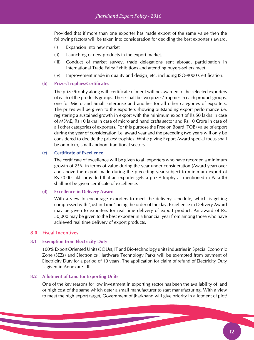Provided that if more than one exporter has made export of the same value then the following factors will be taken into consideration for deciding the best exporter's award.

- (i) Expansion into new market
- (ii) Launching of new products in the export market.
- (iii) Conduct of market survey, trade delegations sent abroad, participation in International Trade Fairs/ Exhibitions and attending buyers-sellers meet.
- (iv) Improvement made in quality and design, etc. including ISO-9000 Certification.

#### **(b) Prizes/Trophies/Certificates**

The prize /trophy along with certificate of merit will be awarded to the selected exporters of each of the products groups. These shall be two prizes/ trophies in each product groups, one for Micro and Small Enterprise and another for all other categories of exporters. The prizes will be given to the exporters showing outstanding export performance i.e. registering a sustained growth in export with the minimum export of Rs.50 lakhs in case of MSME, Rs 10 lakhs in case of micro and handicrafts sector and Rs.10 Crore in case of all other categories of exporters. For this purpose the Free on Board (FOB) value of export during the year of consideration i.e. award year and the preceding two years will only be considered to decide the prizes/ trophies. While giving Export Award special focus shall be on micro, small andnon- traditional sectors.

#### **(c) Certificate of Excellence**

The certificate of excellence will be given to all exporters who have recorded a minimum growth of 25% in terms of value during the year under consideration (Award year) over and above the export made during the preceding year subject to minimum export of Rs.50.00 lakh provided that an exporter gets a prize/ trophy as mentioned in Para (b) shall not be given certificate of excellence.

#### **(d) Excellence in Delivery Award**

With a view to encourage exporters to meet the delivery schedule, which is getting compressed with "Just in Time" being the order of the day, Excellence in Delivery Award may be given to exporters for real time delivery of export product. An award of Rs. 50,000 may be given to the best exporter in a financial year from among those who have achieved real time delivery of export products.

#### **8.0 Fiscal Incentives**

#### **8.1 Exemption from Electricity Duty**

100% Export Oriented Units (EOUs), IT and Bio-technology units industries in Special Economic Zone (SEZs) and Electronics Hardware Technology Parks will be exempted from payment of Electricity Duty for a period of 10 years. The application for claim of refund of Electricity Duty is given in Annexure –III.

#### **8.2 Allotment of Land for Exporting Units**

One of the key reasons for low investment in exporting sector has been the availability of land or high cost of the same which deter a small manufacturer to start manufacturing. With a view to meet the high export target, Government of Jharkhand will give priority in allotment of plot/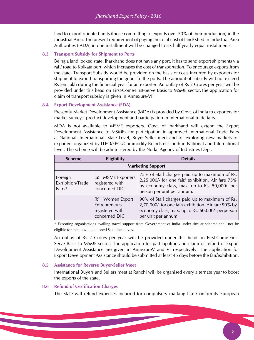land to export oriented units (those committing to exports over 50% of their production) in the industrial Area. The present requirement of paying the total cost of land/ shed in Industrial Area Authorities (IADA) in one installment will be changed to six half yearly equal installments.

#### **8.3 Transport Subsidy for Shipment to Ports**

Being a land locked state, Jharkhand does not have any port. It has to send export shipments via rail/ road to Kolkata port, which increases the cost of transportation. To encourage exports from the state, Transport Subsidy would be provided on the basis of costs incurred by exporters for shipment to export transporting the goods to the ports. The amount of subsidy will not exceed RsTen Lakh during the financial year for an exporter. An outlay of Rs 2 Crores per year will be provided under this head on First-Come-First-Serve Basis to MSME sector.The application for claim of transport subsidy is given in Annexure-VI.

#### **8.4 Export Development Assistance (EDA)**

Presently Market Development Assistance (MDA) is provided by Govt. of India to exporters for market surveys, product development and participation in international trade fairs.

MDA is not available to MSME exporters. Govt. of Jharkhand will extend the Export Development Assistance to MSMEs for participation in approved International Trade Fairs at National, International, State Level, Buyer-Seller meet and for exploring new markets for exporters organized by ITPO/EPCs/Commodity Boards etc. both in National and International level. The scheme will be administered by the Nodal Agency of Industries Dept.

| <b>Scheme</b>                                                                                   | <b>Eligibility</b>                                                    | <b>Details</b>                                                                                                                                                                     |  |  |  |
|-------------------------------------------------------------------------------------------------|-----------------------------------------------------------------------|------------------------------------------------------------------------------------------------------------------------------------------------------------------------------------|--|--|--|
|                                                                                                 | <b>Marketing Support</b>                                              |                                                                                                                                                                                    |  |  |  |
| (a) MSME Exporters<br>Foreign<br>Exhibition/Trade<br>registered with<br>concerned DIC<br>Fairs* |                                                                       | 75% of Stall charges paid up to maximum of Rs.<br>2,25,000/- for one fair/ exhibition. Air fare 75%<br>by economy class, max. up to Rs. 50,000/- per<br>person per unit per annum. |  |  |  |
|                                                                                                 | (b) Women Export<br>Entrepreneurs<br>registered with<br>concerned DIC | 90% of Stall charges paid up to maximum of Rs.<br>2,70,000/- for one fair/ exhibition. Air fare 90% by<br>economy class, max. up to Rs. 60,000/- perperson<br>per unit per annum.  |  |  |  |

\* Exporting organisations availing travel support from Government of India under similar scheme shall not be eligible for the above mentioned State Incentives.

An outlay of Rs 2 Crores per year will be provided under this head on First-Come-First-Serve Basis to MSME sector. The application for participation and claim of refund of Export Development Assistance are given in AnnexureV and VI respectively. The application for Export Development Assistance should be submitted at least 45 days before the fair/exhibition.

#### **8.5 Assistance for Reverse Buyer-Seller Meet**

International Buyers and Sellers meet at Ranchi will be organised every alternate year to boost the exports of the state.

#### **8.6 Refund of Certification Charges**

The State will refund expenses incurred for compulsory marking like Conformity European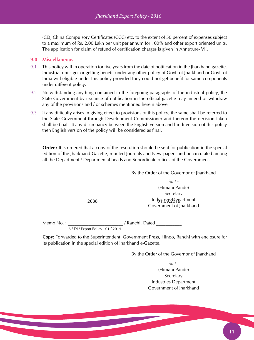(CE), China Compulsory Certificates (CCC) etc. to the extent of 50 percent of expenses subject to a maximum of Rs. 2.00 Lakh per unit per annum for 100% and other export oriented units. The application for claim of refund of certification charges is given in Annexure- VII.

#### **9.0 Miscellaneous**

- 9.1 This policy will in operation for five years from the date of notification in the Jharkhand gazette. Industrial units got or getting benefit under any other policy of Govt. of Jharkhand or Govt. of India will eligible under this policy provided they could not get benefit for same components under different policy.
- 9.2 Notwithstanding anything contained in the foregoing paragraphs of the industrial policy, the State Government by issuance of notification in the official gazette may amend or withdraw any of the provisions and / or schemes mentioned herein above.
- 9.3 If any difficulty arises in giving effect to provisions of this policy, the same shall be referred to the State Government through Development Commissioner and thereon the decision taken shall be final. If any discrepancy between the English version and hindi version of this policy then English version of the policy will be considered as final.

**Order :** It is ordered that a copy of the resolution should be sent for publication in the special edition of the Jharkhand Gazette, reputed Journals and Newspapers and be circulated among all the Department / Departmental heads and Subordinate offices of the Government.

By the Order of the Governor of Jharkhand

 $Sd / -$ (Himani Pande) Secretary 2688 **Participal Englisher Products** Industries Department Government of Jharkhand

Memo No. : \_\_\_\_\_\_\_\_\_\_\_\_\_\_\_\_\_\_\_\_\_\_\_\_\_\_\_\_/ Ranchi, Dated \_\_\_\_\_\_\_\_\_\_\_\_

6 / DI / Export Policy - 01 / 2014

**Copy:** Forwarded to the Superintendent, Government Press, Hinoo, Ranchi with enclosure for its publication in the special edition of Jharkhand e-Gazette.

By the Order of the Governor of Jharkhand

 $Sd / -$ (Himani Pande) **Secretary** Industries Department Government of Jharkhand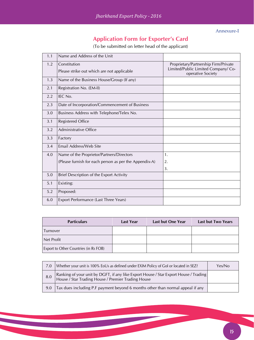Annexure-I

# **Application Form for Exporter's Card**

(To be submitted on letter head of the applicant)

| 1.1 | Name and Address of the Unit                           |                                                          |
|-----|--------------------------------------------------------|----------------------------------------------------------|
| 1.2 | Constitution                                           | Proprietary/Partnership Firm/Private                     |
|     | Please strike out which are not applicable             | Limited/Public Limited Company/ Co-<br>operative Society |
| 1.3 | Name of the Business House/Group (If any)              |                                                          |
| 2.1 | Registration No. (EM-II)                               |                                                          |
| 2.2 | IEC No.                                                |                                                          |
| 2.3 | Date of Incorporation/Commencement of Business         |                                                          |
| 3.0 | Business Address with Telephone/Telex No.              |                                                          |
| 3.1 | <b>Registered Office</b>                               |                                                          |
| 3.2 | Administrative Office                                  |                                                          |
| 3.3 | Factory                                                |                                                          |
| 3.4 | Email Address/Web Site                                 |                                                          |
| 4.0 | Name of the Proprietor/Partners/Directors              | 1.                                                       |
|     | (Please furnish for each person as per the Appendix-A) | 2.                                                       |
|     |                                                        | 3.                                                       |
| 5.0 | Brief Description of the Export Activity               |                                                          |
| 5.1 | Existing:                                              |                                                          |
| 5.2 | Proposed:                                              |                                                          |
| 6.0 | Export Performance (Last Three Years)                  |                                                          |

| <b>Particulars</b>                    | <b>Last Year</b> | Last but One Year | Last but Two Years |
|---------------------------------------|------------------|-------------------|--------------------|
| <i>Lurnover</i>                       |                  |                   |                    |
| Net Profit                            |                  |                   |                    |
| Export to Other Countries (in Rs FOB) |                  |                   |                    |

| 7.0 | Whether your unit is 100% EoUs as defined under EXIM Policy of Gol or located in SEZ?                                                      | Yes/No |
|-----|--------------------------------------------------------------------------------------------------------------------------------------------|--------|
| 8.0 | Ranking of your unit by DGFT, if any like Export House / Star Export House / Trading<br>House / Star Trading House / Premier Trading House |        |
| 9.0 | Tax dues including P.F payment beyond 6 months other than normal appeal if any                                                             |        |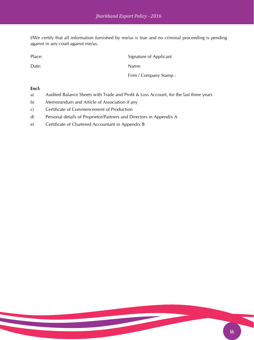I/We certify that all information furnished by me/us is true and no criminal proceeding is pending against in any court against me/us.

Place: Signature of Applicant

Date: Name:

Firm / Company Stamp :

- a) Audited Balance Sheets with Trade and Profit & Loss Account, for the last three years
- b) Memorandum and Article of Association if any
- c) Certificate of Commencement of Production
- d) Personal details of Proprietor/Partners and Directors in Appendix A
- e) Certificate of Chartered Accountant in Appendix B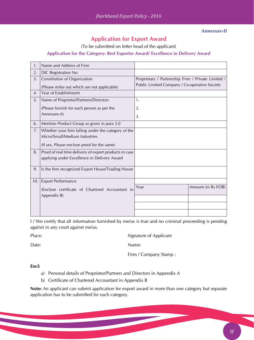#### **Annexure-II**

## **Application for Export Award**

(To be submitted on letter head of the applicant)

#### **Application for the Category: Best Exporter Award/ Excellence in Delivery Award**

| 1.  | Name and Address of Firm                                                                              |                                                    |
|-----|-------------------------------------------------------------------------------------------------------|----------------------------------------------------|
| 2.  | DIC Registration No.                                                                                  |                                                    |
| 3.  | Constitution of Organization                                                                          | Proprietary / Partnership Firm / Private Limited / |
|     | (Please strike out which are not applicable)                                                          | Public Limited Company / Co-operative Society      |
| 4.  | Year of Establishment                                                                                 |                                                    |
| 5.  | Name of Proprietor/Partners/Directors                                                                 | 1.                                                 |
|     | (Please furnish for each person as per the                                                            | 2.                                                 |
|     | Annexure-A)                                                                                           | 3.                                                 |
| 6.  | Mention Product Group as given in para 3.0                                                            |                                                    |
| 7.  | Whether your firm falling under the category of the<br>Micro/Small/Medium Industries                  |                                                    |
|     | (If yes, Please enclose proof for the same)                                                           |                                                    |
| 8.  | Proof of real time delivery of export products in case<br>applying under Excellence in Delivery Award |                                                    |
| 9.  | Is the firm recognized Export House/Trading House                                                     |                                                    |
| 10. | <b>Export Performance</b>                                                                             |                                                    |
|     | (Enclose certificate of Chartered Accountant in                                                       | Amount (in Rs FOB)<br>Year                         |
|     | Appendix B)                                                                                           |                                                    |
|     |                                                                                                       |                                                    |
|     |                                                                                                       |                                                    |

I / We certify that all information furnished by me/us is true and no criminal proceeding is pending against in any court against me/us.

Place: Signature of Applicant

Date: Name:

Firm / Company Stamp :

#### **Encl:**

- a) Personal details of Proprietor/Partners and Directors in Appendix A
- b) Certificate of Chartered Accountant in Appendix B

**Note:** An applicant can submit application for export award in more than one category but separate application has to be submitted for each category.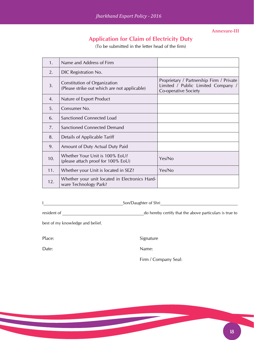**Annexure-III**

# **Application for Claim of Electricity Duty**

(To be submitted in the letter head of the firm)

| 1.  | Name and Address of Firm                                                     |                                                                                                        |
|-----|------------------------------------------------------------------------------|--------------------------------------------------------------------------------------------------------|
| 2.  | DIC Registration No.                                                         |                                                                                                        |
| 3.  | Constitution of Organization<br>(Please strike out which are not applicable) | Proprietary / Partnership Firm / Private<br>Limited / Public Limited Company /<br>Co-operative Society |
| 4.  | Nature of Export Product                                                     |                                                                                                        |
| 5.  | Consumer No.                                                                 |                                                                                                        |
| 6.  | <b>Sanctioned Connected Load</b>                                             |                                                                                                        |
| 7.  | Sanctioned Connected Demand                                                  |                                                                                                        |
| 8.  | Details of Applicable Tariff                                                 |                                                                                                        |
| 9.  | Amount of Duty Actual Duty Paid                                              |                                                                                                        |
| 10. | Whether Your Unit is 100% EoU?<br>(please attach proof for 100% EoU)         | Yes/No                                                                                                 |
| 11. | Whether your Unit is located in SEZ?                                         | Yes/No                                                                                                 |
| 12. | Whether your unit located in Electronics Hard-<br>ware Technology Park?      |                                                                                                        |

I\_\_\_\_\_\_\_\_\_\_\_\_\_\_\_\_\_\_\_\_\_\_\_\_\_\_\_\_\_\_\_\_\_\_\_\_\_\_Son/Daughter of Shri\_\_\_\_\_\_\_\_\_\_\_\_\_\_\_\_\_\_\_\_\_\_\_\_\_\_\_\_\_\_\_\_\_\_\_\_\_

resident of \_\_\_\_\_\_\_\_\_\_\_\_\_\_\_\_\_\_\_\_\_\_\_\_\_\_\_\_\_\_\_\_\_\_\_\_\_\_\_do hereby certify that the above particulars is true to

best of my knowledge and belief.

Place: Signature

Date: Name:

Firm / Company Seal: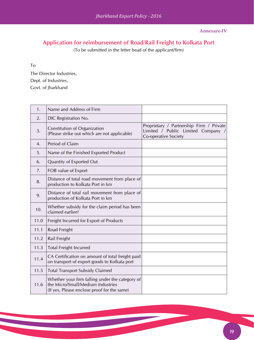# **Application for reimbursement of Road/Rail Freight to Kolkata Port**

(To be submitted in the letter head of the applicant/firm)

To

The Director Industries, Dept. of Industries, Govt. of Jharkhand

| 1.               | Name and Address of Firm                                                                                                            |                                                                                                        |
|------------------|-------------------------------------------------------------------------------------------------------------------------------------|--------------------------------------------------------------------------------------------------------|
| 2.               | DIC Registration No.                                                                                                                |                                                                                                        |
| 3.               | Constitution of Organization<br>(Please strike out which are not applicable)                                                        | Proprietary / Partnership Firm / Private<br>Limited / Public Limited Company /<br>Co-operative Society |
| $\overline{4}$ . | Period of Claim                                                                                                                     |                                                                                                        |
| 5.               | Name of the Finished Exported Product                                                                                               |                                                                                                        |
| 6.               | Quantity of Exported Out                                                                                                            |                                                                                                        |
| 7.               | FOB value of Export                                                                                                                 |                                                                                                        |
| 8.               | Distance of total road movement from place of<br>production to Kolkata Port in km                                                   |                                                                                                        |
| 9.               | Distance of total rail movement from place of<br>production of Kolkata Port in km                                                   |                                                                                                        |
| 10.              | Whether subsidy for the claim period has been<br>claimed earlier?                                                                   |                                                                                                        |
| 11.0             | Freight Incurred for Export of Products                                                                                             |                                                                                                        |
| 11.1             | Road Freight                                                                                                                        |                                                                                                        |
| 11.2             | Rail Freight                                                                                                                        |                                                                                                        |
| 11.3             | <b>Total Freight Incurred</b>                                                                                                       |                                                                                                        |
| 11.4             | CA Certification on amount of total freight paid<br>on transport of export goods to Kolkata port                                    |                                                                                                        |
| 11.5             | <b>Total Transport Subsidy Claimed</b>                                                                                              |                                                                                                        |
| 11.6             | Whether your firm falling under the category of<br>the Micro/Small/Medium Industries<br>(If yes, Please enclose proof for the same) |                                                                                                        |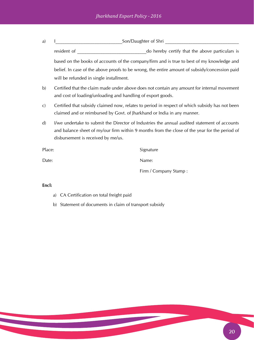| a)           | Son/Daughter of Shri                                                                                                                                                                                                                |                                                                                                |
|--------------|-------------------------------------------------------------------------------------------------------------------------------------------------------------------------------------------------------------------------------------|------------------------------------------------------------------------------------------------|
|              | resident of                                                                                                                                                                                                                         | do hereby certify that the above particulars is                                                |
|              |                                                                                                                                                                                                                                     | based on the books of accounts of the company/firm and is true to best of my knowledge and     |
|              |                                                                                                                                                                                                                                     | belief. In case of the above proofs to be wrong, the entire amount of subsidy/concession paid  |
|              | will be refunded in single installment.                                                                                                                                                                                             |                                                                                                |
| b)           | and cost of loading/unloading and handling of export goods.                                                                                                                                                                         | Certified that the claim made under above does not contain any amount for internal movement    |
| $\mathbf{C}$ | claimed and or reimbursed by Govt. of Jharkhand or India in any manner.                                                                                                                                                             | Certified that subsidy claimed now, relates to period in respect of which subsidy has not been |
| $\mathbf{d}$ | I/we undertake to submit the Director of Industries the annual audited statement of accounts<br>and balance sheet of my/our firm within 9 months from the close of the year for the period of<br>disbursement is received by me/us. |                                                                                                |
| Place:       |                                                                                                                                                                                                                                     | Signature                                                                                      |

Date: Name:

Firm / Company Stamp :

- a) CA Certification on total freight paid
- b) Statement of documents in claim of transport subsidy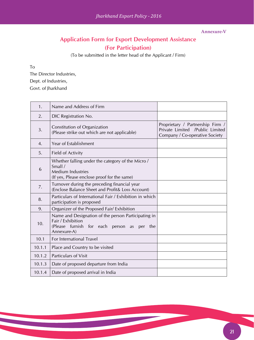#### **Annexure-V**

# **Application Form for Export Development Assistance (For Participation)**

(To be submitted in the letter head of the Applicant / Firm)

To

The Director Industries, Dept. of Industries, Govt. of Jharkhand

| $\mathbf{1}$ . | Name and Address of Firm                                                                                                                 |                                                                                                       |
|----------------|------------------------------------------------------------------------------------------------------------------------------------------|-------------------------------------------------------------------------------------------------------|
| 2.             | DIC Registration No.                                                                                                                     |                                                                                                       |
| 3.             | Constitution of Organization<br>(Please strike out which are not applicable)                                                             | Proprietary / Partnership Firm /<br>Private Limited /Public Limited<br>Company / Co-operative Society |
| 4.             | <b>Year of Establishment</b>                                                                                                             |                                                                                                       |
| 5.             | Field of Activity                                                                                                                        |                                                                                                       |
| 6              | Whether falling under the category of the Micro /<br>Small /<br><b>Medium Industries</b><br>(If yes, Please enclose proof for the same)  |                                                                                                       |
| 7.             | Turnover during the preceding financial year<br>(Enclose Balance Sheet and Profit & Loss Account)                                        |                                                                                                       |
| 8.             | Particulars of International Fair / Exhibition in which<br>participation is proposed                                                     |                                                                                                       |
| 9.             | Organizer of the Proposed Fair/ Exhibition                                                                                               |                                                                                                       |
| 10.            | Name and Designation of the person Participating in<br>Fair / Exhibition<br>(Please furnish for each person as per<br>the<br>Annexure-A) |                                                                                                       |
| 10.1           | For International Travel                                                                                                                 |                                                                                                       |
| 10.1.1         | Place and Country to be visited                                                                                                          |                                                                                                       |
| 10.1.2         | <b>Particulars of Visit</b>                                                                                                              |                                                                                                       |
| 10.1.3         | Date of proposed departure from India                                                                                                    |                                                                                                       |
| 10.1.4         | Date of proposed arrival in India                                                                                                        |                                                                                                       |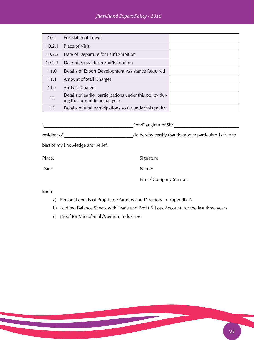| 10.2   | <b>For National Travel</b>                                                                 |  |
|--------|--------------------------------------------------------------------------------------------|--|
| 10.2.1 | <b>Place of Visit</b>                                                                      |  |
| 10.2.2 | Date of Departure for Fair/Exhibition                                                      |  |
| 10.2.3 | Date of Arrival from Fair/Exhibition                                                       |  |
| 11.0   | Details of Export Development Assistance Required                                          |  |
| 11.1   | <b>Amount of Stall Charges</b>                                                             |  |
| 11.2   | Air Fare Charges                                                                           |  |
| 12     | Details of earlier participations under this policy dur-<br>ing the current financial year |  |
| 13     | Details of total participations so far under this policy                                   |  |

|             | Son/Daughter of Shri                                    |
|-------------|---------------------------------------------------------|
| resident of | do hereby certify that the above particulars is true to |

best of my knowledge and belief.

Place: Signature

Date: Name:

Firm / Company Stamp :

- a) Personal details of Proprietor/Partners and Directors in Appendix A
- b) Audited Balance Sheets with Trade and Profit & Loss Account, for the last three years
- c) Proof for Micro/Small/Medium industries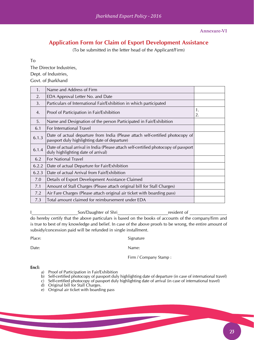**Annexure-VI**

## **Application Form for Claim of Export Development Assistance**

(To be submitted in the letter head of the Applicant/Firm)

To

The Director Industries, Dept. of Industries, Govt. of Jharkhand

| 1.    | Name and Address of Firm                                                                                                        |          |
|-------|---------------------------------------------------------------------------------------------------------------------------------|----------|
| 2.    | EDA Approval Letter No. and Date                                                                                                |          |
| 3.    | Particulars of International Fair/Exhibition in which participated                                                              |          |
| 4.    | Proof of Participation in Fair/Exhibition                                                                                       | 1.<br>2. |
| 5.    | Name and Designation of the person Participated in Fair/Exhibition                                                              |          |
| 6.1   | For International Travel                                                                                                        |          |
| 6.1.3 | Date of actual departure from India (Please attach self-certified photocopy of<br>passport duly highlighting date of departure) |          |
| 6.1.4 | Date of actual arrival in India (Please attach self-certified photocopy of passport<br>duly highlighting date of arrival)       |          |
| 6.2   | <b>For National Travel</b>                                                                                                      |          |
| 6.2.2 | Date of actual Departure for Fair/Exhibition                                                                                    |          |
| 6.2.3 | Date of actual Arrival from Fair/Exhibition                                                                                     |          |
| 7.0   | Details of Export Development Assistance Claimed                                                                                |          |
| 7.1   | Amount of Stall Charges (Please attach original bill for Stall Charges)                                                         |          |
| 7.2   | Air Fare Charges (Please attach original air ticket with boarding pass)                                                         |          |
| 7.3   | Total amount claimed for reimbursement under EDA                                                                                |          |

Ict is a subset of Shride and Son/Daughter of Shride and an architecture of  $\mathsf{S}$  and  $\mathsf{S}$  are  $\mathsf{S}$  and  $\mathsf{S}$  are  $\mathsf{S}$  and  $\mathsf{S}$  are  $\mathsf{S}$  are  $\mathsf{S}$  and  $\mathsf{S}$  are  $\mathsf{S}$  are  $\mathsf{S}$  are  $\math$ do hereby certify that the above particulars is based on the books of accounts of the company/firm and is true to best of my knowledge and belief. In case of the above proofs to be wrong, the entire amount of subsidy/concession paid will be refunded in single installment.

| Signature             |
|-----------------------|
| Name:                 |
| Firm / Company Stamp: |
|                       |

- a) Proof of Participation in Fair/Exhibition
- b) Self-certified photocopy of passport duly highlighting date of departure (in case of international travel)
- c) Self-certified photocopy of passport duly highlighting date of arrival (in case of international travel)
- d) Original bill for Stall Charges.
- e) Original air ticket with boarding pass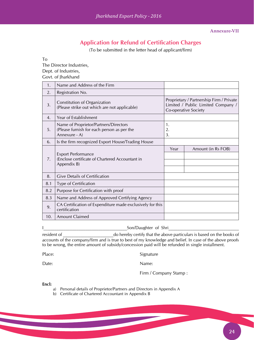# **Application for Refund of Certification Charges**

(To be submitted in the letter head of applicant/firm)

To

The Director Industries,

Dept. of Industries,

Govt. of Jharkhand

| 1.  | Name and Address of the Firm                                                                         |                                                                                                        |                    |  |
|-----|------------------------------------------------------------------------------------------------------|--------------------------------------------------------------------------------------------------------|--------------------|--|
| 2.  | Registration No.                                                                                     |                                                                                                        |                    |  |
| 3.  | Constitution of Organization<br>(Please strike out which are not applicable)                         | Proprietary / Partnership Firm / Private<br>Limited / Public Limited Company /<br>Co-operative Society |                    |  |
| 4.  | Year of Establishment                                                                                |                                                                                                        |                    |  |
| 5.  | Name of Proprietor/Partners/Directors<br>(Please furnish for each person as per the<br>Annexure - A) | 1.<br>2.<br>3.                                                                                         |                    |  |
| 6.  | Is the firm recognized Export House/Trading House                                                    |                                                                                                        |                    |  |
| 7.  | <b>Export Performance</b><br>(Enclose certificate of Chartered Accountant in<br>Appendix B)          |                                                                                                        | Amount (in Rs FOB) |  |
| 8.  | <b>Give Details of Certification</b>                                                                 |                                                                                                        |                    |  |
| 8.1 | <b>Type of Certification</b>                                                                         |                                                                                                        |                    |  |
| 8.2 | Purpose for Certification with proof                                                                 |                                                                                                        |                    |  |
| 8.3 | Name and Address of Approved Certifying Agency                                                       |                                                                                                        |                    |  |
| 9.  | CA Certification of Expenditure made exclusively for this<br>certification                           |                                                                                                        |                    |  |
| 10. | <b>Amount Claimed</b>                                                                                |                                                                                                        |                    |  |

I

resident of  $\Box$  do hereby certify that the above particulars is based on the books of accounts of the company/firm and is true to best of my knowledge and belief. In case of the above proofs to be wrong, the entire amount of subsidy/concession paid will be refunded in single installment.

Place: Signature

Date: Name:

Firm / Company Stamp :

- a) Personal details of Proprietor/Partners and Directors in Appendix A
- b) Certificate of Chartered Accountant in Appendix B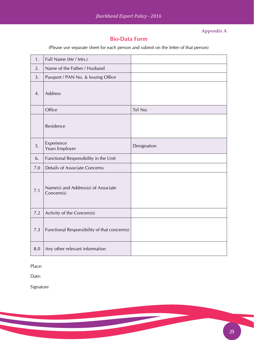### **Appendix A**

### **Bio-Data Form**

(Please use separate sheet for each person and submit on the letter of that person)

| 1.  | Full Name (Mr / Mrs.)                             |             |
|-----|---------------------------------------------------|-------------|
| 2.  | Name of the Father / Husband                      |             |
| 3.  | Passport / PAN No. & Issuing Office               |             |
| 4.  | <b>Address</b>                                    |             |
|     | Office                                            | Tel No:     |
|     | Residence                                         |             |
| 5.  | Experience<br>Years Employer                      | Designation |
| 6.  | Functional Responsibility in the Unit             |             |
| 7.0 | <b>Details of Associate Concerns</b>              |             |
| 7.1 | Name(s) and Address(s) of Associate<br>Concern(s) |             |
| 7.2 |                                                   |             |
|     | Activity of the Concern(s)                        |             |
| 7.3 | Functional Responsibility of that concern(s)      |             |

Place:

Date:

Signature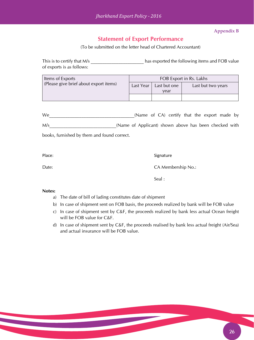#### **Appendix B**

### **Statement of Export Performance**

(To be submitted on the letter head of Chartered Accountant)

This is to certify that M/s and TOB value has exported the following items and FOB value of exports is as follows:

| Items of Exports                       | FOB Export in Rs. Lakhs |                      |                    |  |
|----------------------------------------|-------------------------|----------------------|--------------------|--|
| (Please give brief about export items) | Last Year               | Last but one<br>vear | Last but two years |  |
|                                        |                         |                      |                    |  |

We We CA) certify that the export made by M/s\_\_\_\_\_\_\_\_\_\_\_\_\_\_\_\_\_\_\_\_\_\_\_\_\_\_\_\_\_(Name of Applicant) shown above has been checked with

books, furnished by them and found correct.

Place: Signature Signature

Date: CA Membership No.:

Seal :

#### **Notes:**

- a) The date of bill of lading constitutes date of shipment
- b) In case of shipment sent on FOB basis, the proceeds realized by bank will be FOB value
- c) In case of shipment sent by C&F, the proceeds realized by bank less actual Ocean freight will be FOB value for C&F.
- d) In case of shipment sent by C&F, the proceeds realised by bank less actual freight (Air/Sea) and actual insurance will be FOB value.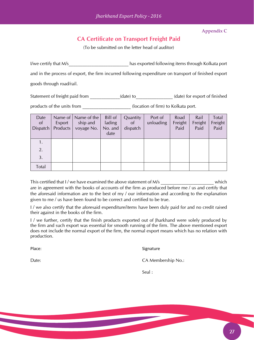**Appendix C**

# **CA Certificate on Transport Freight Paid**

(To be submitted on the letter head of auditor)

I/we certify that M/s\_\_\_\_\_\_\_\_\_\_\_\_\_\_\_\_\_\_\_\_\_\_\_\_\_\_\_\_\_\_\_\_has exported following items through Kolkata port and in the process of export, the firm incurred following expenditure on transport of finished export goods through road/rail.

Statement of freight paid from \_\_\_\_\_\_\_\_\_\_\_(date) to\_\_\_\_\_\_\_\_\_\_\_\_(date) for export of finished

products of the units from \_\_\_\_\_\_\_\_\_\_\_\_\_\_\_\_\_\_\_\_\_\_(location of firm) to Kolkata port.

| Date<br>of<br>Dispatch | Name of $\vert$<br>Export<br>Products | Name of the<br>ship and<br>voyage No. | Bill of<br>lading<br>No. and<br>date | Quantity<br><sub>of</sub><br>dispatch | Port of<br>unloading | Road<br>Freight<br>Paid | Rail<br>Freight<br>Paid | Total<br>Freight<br>Paid |
|------------------------|---------------------------------------|---------------------------------------|--------------------------------------|---------------------------------------|----------------------|-------------------------|-------------------------|--------------------------|
| 1.                     |                                       |                                       |                                      |                                       |                      |                         |                         |                          |
| 2.                     |                                       |                                       |                                      |                                       |                      |                         |                         |                          |
| 3.                     |                                       |                                       |                                      |                                       |                      |                         |                         |                          |
| Total                  |                                       |                                       |                                      |                                       |                      |                         |                         |                          |

This certified that I / we have examined the above statement of M/s which are in agreement with the books of accounts of the firm as produced before me / us and certify that the aforesaid information are to the best of my / our information and according to the explanation given to me / us have been found to be correct and certified to be true.

I / we also certify that the aforesaid expenditure/items have been duly paid for and no credit raised their against in the books of the firm.

I / we further, certify that the finish products exported out of Jharkhand were solely produced by the firm and such export was essential for smooth running of the firm. The above mentioned export does not include the normal export of the firm, the normal export means which has no relation with production.

Place: Signature

Date: CA Membership No.:

Seal :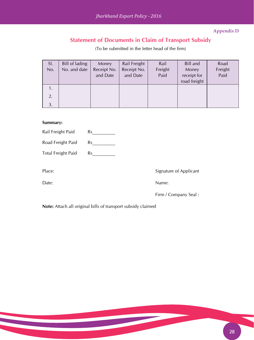**Appendix D**

# **Statement of Documents in Claim of Transport Subsidy**

(To be submitted in the letter head of the firm)

| SI.<br>No. | Bill of lading<br>No. and date | Money<br>Receipt No.<br>and Date | Rail Freight<br>Receipt No.<br>and Date | Rail<br>Freight<br>Paid | Bill and<br>Money<br>receipt for<br>road freight | Road<br>Freight<br>Paid |
|------------|--------------------------------|----------------------------------|-----------------------------------------|-------------------------|--------------------------------------------------|-------------------------|
| 1.         |                                |                                  |                                         |                         |                                                  |                         |
| 2.         |                                |                                  |                                         |                         |                                                  |                         |
| 3.         |                                |                                  |                                         |                         |                                                  |                         |

#### **Summary:**

| Rail Freight Paid         | Rs |
|---------------------------|----|
| Road Freight Paid         | Rs |
| <b>Total Freight Paid</b> | Rs |

Place: Signature of Applicant

Date: Name:

Firm / Company Seal :

**Note:** Attach all original bills of transport subsidy claimed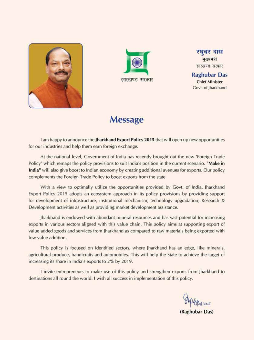



रघवर दास मख्यमंत्री झारखण्ड सरकार

**Raghubar Das Chief Minister** Govt. of Iharkhand

# **Message**

I am happy to announce the Jharkhand Export Policy 2015 that will open up new opportunities for our industries and help them earn foreign exchange.

At the national level, Government of India has recently brought out the new 'Foreign Trade Policy' which remaps the policy provisions to suit India's position in the current scenario. "Make in **India**" will also give boost to Indian economy by creating additional avenues for exports. Our policy complements the Foreign Trade Policy to boost exports from the state.

With a view to optimally utilize the opportunities provided by Govt. of India, Jharkhand Export Policy 2015 adopts an ecosystem approach in its policy provisions by providing support for development of infrastructure, institutional mechanism, technology upgradation, Research & Development activities as well as providing market development assistance.

Jharkhand is endowed with abundant mineral resources and has vast potential for increasing exports in various sectors aligned with this value chain. This policy aims at supporting export of value added goods and services from Jharkhand as compared to raw materials being exported with low value addition.

This policy is focused on identified sectors, where Jharkhand has an edge, like minerals, agricultural produce, handicrafts and automobiles. This will help the State to achieve the target of increasing its share in India's exports to 2% by 2019.

I invite entrepreneurs to make use of this policy and strengthen exports from Jharkhand to destinations all round the world. I wish all success in implementation of this policy.

(Raghubar Das)